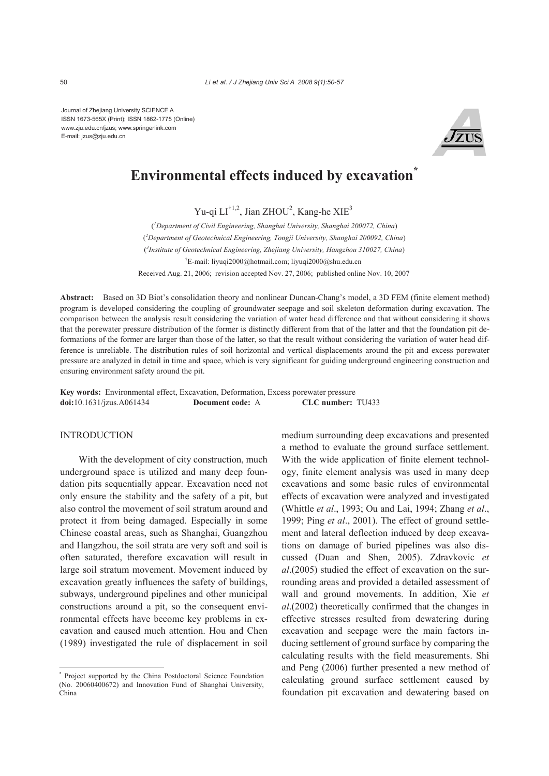Journal of Zhejiang University SCIENCE A ISSN 1673-565X (Print); ISSN 1862-1775 (Online) www.zju.edu.cn/jzus; www.springerlink.com E-mail: jzus@zju.edu.cn



# **Environmental effects induced by excavation\***

Yu-qi  $LI^{\dagger1,2}$ , Jian ZHOU<sup>2</sup>, Kang-he XIE<sup>3</sup>

( *1 Department of Civil Engineering, Shanghai University, Shanghai 200072, China*) ( *2 Department of Geotechnical Engineering, Tongji University, Shanghai 200092, China*) ( *3 Institute of Geotechnical Engineering, Zhejiang University, Hangzhou 310027, China*) † E-mail: liyuqi2000@hotmail.com; liyuqi2000@shu.edu.cn Received Aug. 21, 2006; revision accepted Nov. 27, 2006; published online Nov. 10, 2007

**Abstract:** Based on 3D Biot's consolidation theory and nonlinear Duncan-Chang's model, a 3D FEM (finite element method) program is developed considering the coupling of groundwater seepage and soil skeleton deformation during excavation. The comparison between the analysis result considering the variation of water head difference and that without considering it shows that the porewater pressure distribution of the former is distinctly different from that of the latter and that the foundation pit deformations of the former are larger than those of the latter, so that the result without considering the variation of water head difference is unreliable. The distribution rules of soil horizontal and vertical displacements around the pit and excess porewater pressure are analyzed in detail in time and space, which is very significant for guiding underground engineering construction and ensuring environment safety around the pit.

**Key words:** Environmental effect, Excavation, Deformation, Excess porewater pressure **doi:**10.1631/jzus.A061434 **Document code:** A **CLC number:** TU433

#### **INTRODUCTION**

With the development of city construction, much underground space is utilized and many deep foundation pits sequentially appear. Excavation need not only ensure the stability and the safety of a pit, but also control the movement of soil stratum around and protect it from being damaged. Especially in some Chinese coastal areas, such as Shanghai, Guangzhou and Hangzhou, the soil strata are very soft and soil is often saturated, therefore excavation will result in large soil stratum movement. Movement induced by excavation greatly influences the safety of buildings, subways, underground pipelines and other municipal constructions around a pit, so the consequent environmental effects have become key problems in excavation and caused much attention. Hou and Chen (1989) investigated the rule of displacement in soil medium surrounding deep excavations and presented a method to evaluate the ground surface settlement. With the wide application of finite element technology, finite element analysis was used in many deep excavations and some basic rules of environmental effects of excavation were analyzed and investigated (Whittle *et al*., 1993; Ou and Lai, 1994; Zhang *et al*., 1999; Ping *et al*., 2001). The effect of ground settlement and lateral deflection induced by deep excavations on damage of buried pipelines was also discussed (Duan and Shen, 2005). Zdravkovic *et al*.(2005) studied the effect of excavation on the surrounding areas and provided a detailed assessment of wall and ground movements. In addition, Xie *et al*.(2002) theoretically confirmed that the changes in effective stresses resulted from dewatering during excavation and seepage were the main factors inducing settlement of ground surface by comparing the calculating results with the field measurements. Shi and Peng (2006) further presented a new method of calculating ground surface settlement caused by foundation pit excavation and dewatering based on

<sup>\*</sup> Project supported by the China Postdoctoral Science Foundation (No. 20060400672) and Innovation Fund of Shanghai University, China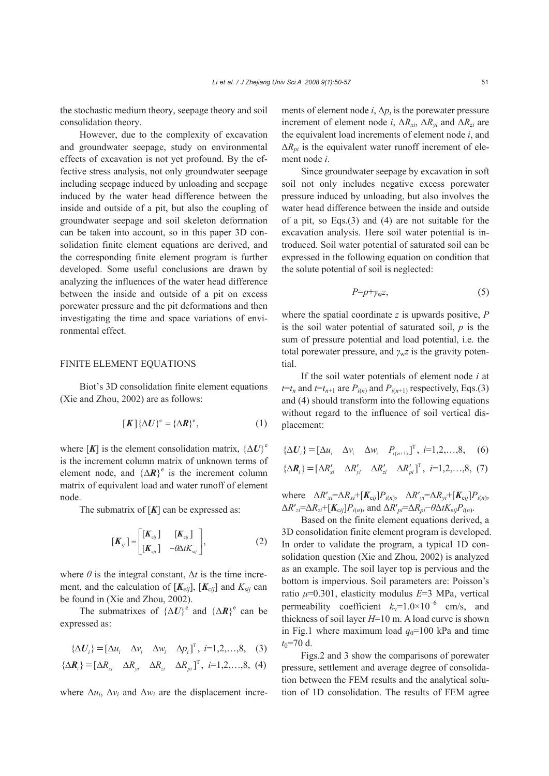the stochastic medium theory, seepage theory and soil consolidation theory.

However, due to the complexity of excavation and groundwater seepage, study on environmental effects of excavation is not yet profound. By the effective stress analysis, not only groundwater seepage including seepage induced by unloading and seepage induced by the water head difference between the inside and outside of a pit, but also the coupling of groundwater seepage and soil skeleton deformation can be taken into account, so in this paper 3D consolidation finite element equations are derived, and the corresponding finite element program is further developed. Some useful conclusions are drawn by analyzing the influences of the water head difference between the inside and outside of a pit on excess porewater pressure and the pit deformations and then investigating the time and space variations of environmental effect.

#### FINITE ELEMENT EQUATIONS

Biot's 3D consolidation finite element equations (Xie and Zhou, 2002) are as follows:

$$
[\boldsymbol{K}]\{\Delta\boldsymbol{U}\}^{\text{e}} = \{\Delta\boldsymbol{R}\}^{\text{e}},\tag{1}
$$

where [K] is the element consolidation matrix,  ${\{\Delta U\}}^e$ is the increment column matrix of unknown terms of element node, and  ${\{\Delta \mathbf{R}\}}^e$  is the increment column matrix of equivalent load and water runoff of element node.

The submatrix of [*K*] can be expressed as:

$$
\begin{bmatrix} \boldsymbol{K}_{ij} \end{bmatrix} = \begin{bmatrix} [\boldsymbol{K}_{\text{eij}}] & [\boldsymbol{K}_{\text{eij}}] \\ [\boldsymbol{K}_{\text{gij}}] & -\theta \Delta t \boldsymbol{K}_{\text{sg}} \end{bmatrix}, \tag{2}
$$

where  $\theta$  is the integral constant,  $\Delta t$  is the time increment, and the calculation of  $[K_{\text{eij}}]$ ,  $[K_{\text{eij}}]$  and  $K_{\text{sij}}$  can be found in (Xie and Zhou, 2002).

The submatrixes of  ${\{\Delta U\}}^e$  and  ${\{\Delta R\}}^e$  can be expressed as:

$$
\{\Delta U_i\} = [\Delta u_i \quad \Delta v_i \quad \Delta w_i \quad \Delta p_i]^{\mathrm{T}}, \ i = 1, 2, \dots, 8, \quad (3)
$$

$$
\{\Delta \boldsymbol{R}_i\} = [\Delta R_{xi} \quad \Delta R_{yi} \quad \Delta R_{zi} \quad \Delta R_{pi}]^\mathrm{T}, \ i = 1, 2, \dots, 8, \ (4)
$$

where  $\Delta u_i$ ,  $\Delta v_i$  and  $\Delta w_i$  are the displacement incre-

ments of element node  $i$ ,  $\Delta p_i$  is the porewater pressure increment of element node *i*,  $\Delta R_{xi}$ ,  $\Delta R_{yi}$  and  $\Delta R_{zi}$  are the equivalent load increments of element node *i*, and  $\Delta R_{pi}$  is the equivalent water runoff increment of element node *i*.

Since groundwater seepage by excavation in soft soil not only includes negative excess porewater pressure induced by unloading, but also involves the water head difference between the inside and outside of a pit, so Eqs.(3) and (4) are not suitable for the excavation analysis. Here soil water potential is introduced. Soil water potential of saturated soil can be expressed in the following equation on condition that the solute potential of soil is neglected:

$$
P=p+\gamma_{\rm w}z,\tag{5}
$$

where the spatial coordinate *z* is upwards positive, *P* is the soil water potential of saturated soil, *p* is the sum of pressure potential and load potential, i.e. the total porewater pressure, and  $\gamma_w z$  is the gravity potential.

If the soil water potentials of element node *i* at  $t=t_n$  and  $t=t_{n+1}$  are  $P_{i(n)}$  and  $P_{i(n+1)}$  respectively, Eqs.(3) and (4) should transform into the following equations without regard to the influence of soil vertical displacement:

$$
\{\Delta \mathbf{U}_i\} = [\Delta u_i \quad \Delta v_i \quad \Delta w_i \quad P_{i(n+1)}]^\mathrm{T}, \ i=1,2,\ldots,8,\quad (6)
$$

$$
\{\Delta \mathbf{R}_i\} = [\Delta R'_{xi} \quad \Delta R'_{yi} \quad \Delta R'_{zi} \quad \Delta R'_{pi}]^\mathrm{T}, \ i=1,2,\ldots,8,\ (7)
$$

where  $\Delta R'_{xi} = \Delta R_{xi} + [\mathbf{K}_{cij}] P_{i(n)}, \quad \Delta R'_{yi} = \Delta R_{yi} + [\mathbf{K}_{cij}] P_{i(n)},$  $\Delta R'_{zi} = \Delta R_{zi} + [K_{cij}] P_{i(n)}$ , and  $\Delta R'_{pi} = \Delta R_{pi} - \theta \Delta t K_{sij} P_{i(n)}$ .

Based on the finite element equations derived, a 3D consolidation finite element program is developed. In order to validate the program, a typical 1D consolidation question (Xie and Zhou, 2002) is analyzed as an example. The soil layer top is pervious and the bottom is impervious. Soil parameters are: Poisson's ratio *μ*=0.301, elasticity modulus *E*=3 MPa, vertical permeability coefficient  $k_v=1.0\times10^{-6}$  cm/s, and thickness of soil layer *H*=10 m. A load curve is shown in Fig.1 where maximum load  $q_0$ =100 kPa and time  $t_0$ =70 d.

Figs.2 and 3 show the comparisons of porewater pressure, settlement and average degree of consolidation between the FEM results and the analytical solution of 1D consolidation. The results of FEM agree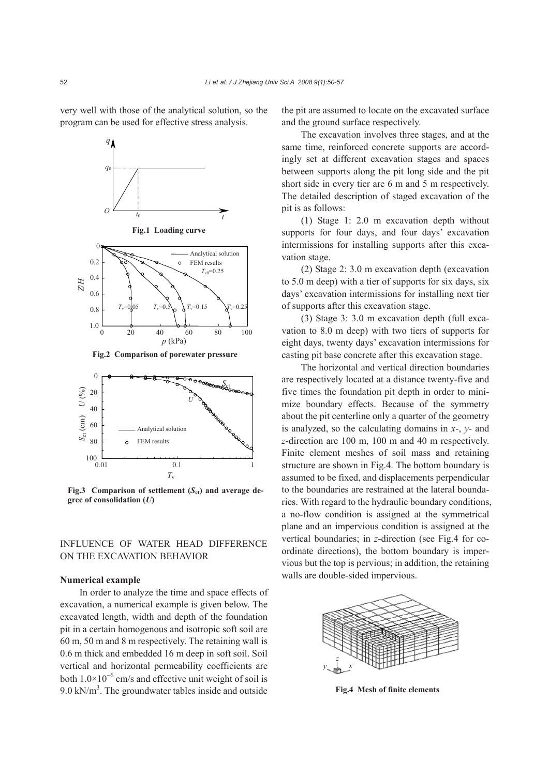very well with those of the analytical solution, so the program can be used for effective stress analysis.





**Fig.3** Comparison of settlement  $(S_{ct})$  and average de**gree of consolidation (***U***)**

# INFLUENCE OF WATER HEAD DIFFERENCE ON THE EXCAVATION BEHAVIOR

#### **Numerical example**

In order to analyze the time and space effects of excavation, a numerical example is given below. The excavated length, width and depth of the foundation pit in a certain homogenous and isotropic soft soil are 60 m, 50 m and 8 m respectively. The retaining wall is 0.6 m thick and embedded 16 m deep in soft soil. Soil vertical and horizontal permeability coefficients are both  $1.0 \times 10^{-6}$  cm/s and effective unit weight of soil is  $9.0 \text{ kN/m}^3$ . The groundwater tables inside and outside the pit are assumed to locate on the excavated surface and the ground surface respectively.

The excavation involves three stages, and at the same time, reinforced concrete supports are accordingly set at different excavation stages and spaces between supports along the pit long side and the pit short side in every tier are 6 m and 5 m respectively. The detailed description of staged excavation of the pit is as follows:

(1) Stage 1: 2.0 m excavation depth without supports for four days, and four days' excavation intermissions for installing supports after this excavation stage.

(2) Stage 2: 3.0 m excavation depth (excavation to 5.0 m deep) with a tier of supports for six days, six days' excavation intermissions for installing next tier of supports after this excavation stage.

(3) Stage 3: 3.0 m excavation depth (full excavation to 8.0 m deep) with two tiers of supports for eight days, twenty days' excavation intermissions for casting pit base concrete after this excavation stage.

The horizontal and vertical direction boundaries are respectively located at a distance twenty-five and five times the foundation pit depth in order to minimize boundary effects. Because of the symmetry about the pit centerline only a quarter of the geometry is analyzed, so the calculating domains in *x*-, *y*- and *z*-direction are 100 m, 100 m and 40 m respectively. Finite element meshes of soil mass and retaining structure are shown in Fig.4. The bottom boundary is assumed to be fixed, and displacements perpendicular to the boundaries are restrained at the lateral boundaries. With regard to the hydraulic boundary conditions, a no-flow condition is assigned at the symmetrical plane and an impervious condition is assigned at the vertical boundaries; in *z*-direction (see Fig.4 for coordinate directions), the bottom boundary is impervious but the top is pervious; in addition, the retaining walls are double-sided impervious.



**Fig.4 Mesh of finite elements**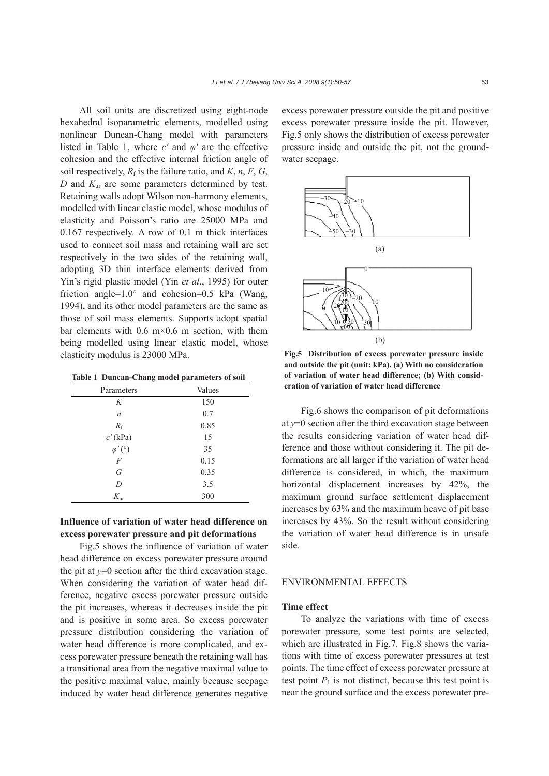All soil units are discretized using eight-node hexahedral isoparametric elements, modelled using nonlinear Duncan-Chang model with parameters listed in Table 1, where *c'* and *φ'* are the effective cohesion and the effective internal friction angle of soil respectively,  $R_f$  is the failure ratio, and  $K$ ,  $n$ ,  $F$ ,  $G$ , *D* and *K*ur are some parameters determined by test. Retaining walls adopt Wilson non-harmony elements, modelled with linear elastic model, whose modulus of elasticity and Poisson's ratio are 25000 MPa and 0.167 respectively. A row of 0.1 m thick interfaces used to connect soil mass and retaining wall are set respectively in the two sides of the retaining wall, adopting 3D thin interface elements derived from Yin's rigid plastic model (Yin *et al*., 1995) for outer friction angle= $1.0^{\circ}$  and cohesion= $0.5$  kPa (Wang, 1994), and its other model parameters are the same as those of soil mass elements. Supports adopt spatial bar elements with  $0.6 \text{ m} \times 0.6 \text{ m}$  section, with them being modelled using linear elastic model, whose elasticity modulus is 23000 MPa.

**Table 1 Duncan-Chang model parameters of soil**

| Parameters          | Values |
|---------------------|--------|
| K                   | 150    |
| $\boldsymbol{n}$    | 0.7    |
| $R_{\rm f}$         | 0.85   |
| $c'$ (kPa)          | 15     |
| $\varphi' (^\circ)$ | 35     |
| $\overline{F}$      | 0.15   |
| G                   | 0.35   |
| D                   | 3.5    |
| $K_{\text{ur}}$     | 300    |
|                     |        |

### **Influence of variation of water head difference on excess porewater pressure and pit deformations**

Fig.5 shows the influence of variation of water head difference on excess porewater pressure around the pit at  $y=0$  section after the third excavation stage. When considering the variation of water head difference, negative excess porewater pressure outside the pit increases, whereas it decreases inside the pit and is positive in some area. So excess porewater pressure distribution considering the variation of water head difference is more complicated, and excess porewater pressure beneath the retaining wall has a transitional area from the negative maximal value to the positive maximal value, mainly because seepage induced by water head difference generates negative excess porewater pressure outside the pit and positive excess porewater pressure inside the pit. However, Fig.5 only shows the distribution of excess porewater pressure inside and outside the pit, not the groundwater seepage.



**Fig.5 Distribution of excess porewater pressure inside and outside the pit (unit: kPa). (a) With no consideration of variation of water head difference; (b) With consideration of variation of water head difference**

Fig.6 shows the comparison of pit deformations at  $y=0$  section after the third excavation stage between the results considering variation of water head difference and those without considering it. The pit deformations are all larger if the variation of water head difference is considered, in which, the maximum horizontal displacement increases by 42%, the maximum ground surface settlement displacement increases by 63% and the maximum heave of pit base increases by 43%. So the result without considering the variation of water head difference is in unsafe side.

#### ENVIRONMENTAL EFFECTS

#### **Time effect**

To analyze the variations with time of excess porewater pressure, some test points are selected, which are illustrated in Fig.7. Fig.8 shows the variations with time of excess porewater pressures at test points. The time effect of excess porewater pressure at test point  $P_1$  is not distinct, because this test point is near the ground surface and the excess porewater pre-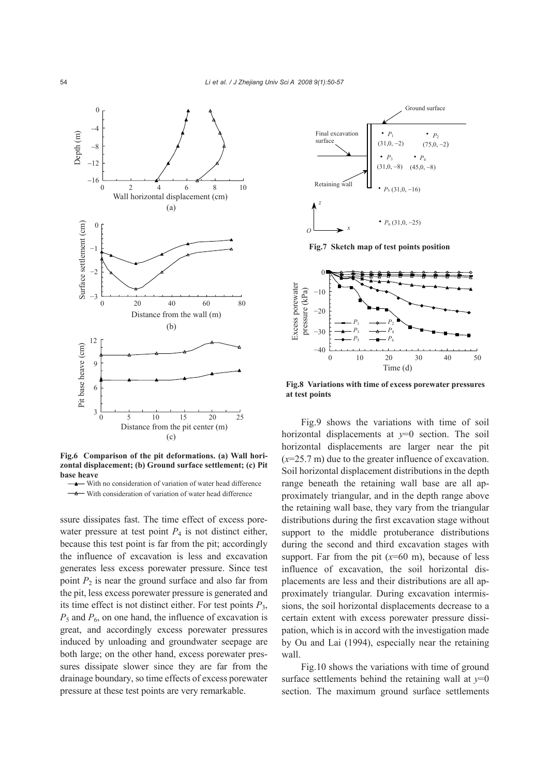

**Fig.6 Comparison of the pit deformations. (a) Wall horizontal displacement; (b) Ground surface settlement; (c) Pit base heave**

With no consideration of variation of water head difference - With consideration of variation of water head difference

ssure dissipates fast. The time effect of excess porewater pressure at test point  $P_4$  is not distinct either, because this test point is far from the pit; accordingly the influence of excavation is less and excavation generates less excess porewater pressure. Since test point  $P_2$  is near the ground surface and also far from the pit, less excess porewater pressure is generated and its time effect is not distinct either. For test points  $P_3$ , *P*5 and *P*6, on one hand, the influence of excavation is great, and accordingly excess porewater pressures induced by unloading and groundwater seepage are both large; on the other hand, excess porewater pressures dissipate slower since they are far from the drainage boundary, so time effects of excess porewater pressure at these test points are very remarkable.



**Fig.7 Sketch map of test points position** 



**Fig.8 Variations with time of excess porewater pressures at test points**

Fig.9 shows the variations with time of soil horizontal displacements at  $v=0$  section. The soil horizontal displacements are larger near the pit (*x*=25.7 m) due to the greater influence of excavation. Soil horizontal displacement distributions in the depth range beneath the retaining wall base are all approximately triangular, and in the depth range above the retaining wall base, they vary from the triangular distributions during the first excavation stage without support to the middle protuberance distributions during the second and third excavation stages with support. Far from the pit  $(x=60 \text{ m})$ , because of less influence of excavation, the soil horizontal displacements are less and their distributions are all approximately triangular. During excavation intermissions, the soil horizontal displacements decrease to a certain extent with excess porewater pressure dissipation, which is in accord with the investigation made by Ou and Lai (1994), especially near the retaining wall.

Fig.10 shows the variations with time of ground surface settlements behind the retaining wall at  $y=0$ section. The maximum ground surface settlements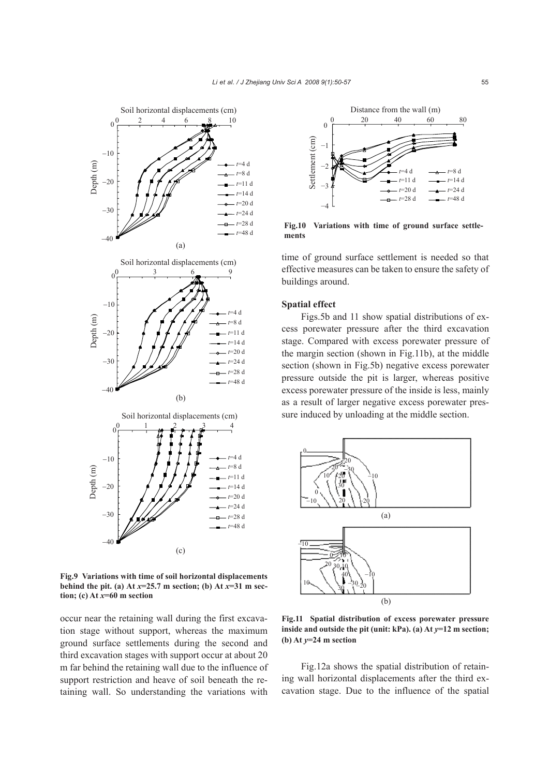

**Fig.9 Variations with time of soil horizontal displacements behind the pit.** (a) At  $x=25.7$  m section; (b) At  $x=31$  m sec**tion; (c) At** *x***=60 m section**

occur near the retaining wall during the first excavation stage without support, whereas the maximum ground surface settlements during the second and third excavation stages with support occur at about 20 m far behind the retaining wall due to the influence of support restriction and heave of soil beneath the retaining wall. So understanding the variations with



**Fig.10 Variations with time of ground surface settlements** 

time of ground surface settlement is needed so that effective measures can be taken to ensure the safety of buildings around.

#### **Spatial effect**

Figs.5b and 11 show spatial distributions of excess porewater pressure after the third excavation stage. Compared with excess porewater pressure of the margin section (shown in Fig.11b), at the middle section (shown in Fig.5b) negative excess porewater pressure outside the pit is larger, whereas positive excess porewater pressure of the inside is less, mainly as a result of larger negative excess porewater pressure induced by unloading at the middle section.



**Fig.11 Spatial distribution of excess porewater pressure inside and outside the pit (unit: kPa). (a) At** *y***=12 m section; (b) At** *y***=24 m section**

Fig.12a shows the spatial distribution of retaining wall horizontal displacements after the third excavation stage. Due to the influence of the spatial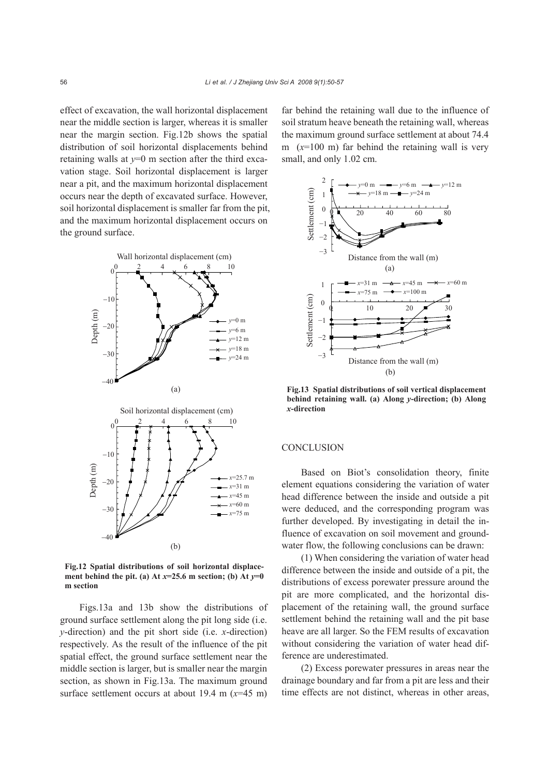effect of excavation, the wall horizontal displacement near the middle section is larger, whereas it is smaller near the margin section. Fig.12b shows the spatial distribution of soil horizontal displacements behind retaining walls at  $v=0$  m section after the third excavation stage. Soil horizontal displacement is larger near a pit, and the maximum horizontal displacement occurs near the depth of excavated surface. However, soil horizontal displacement is smaller far from the pit, and the maximum horizontal displacement occurs on the ground surface.



**Fig.12 Spatial distributions of soil horizontal displacement behind the pit.** (a) At  $x=25.6$  m section; (b) At  $y=0$ **m section**

Figs.13a and 13b show the distributions of ground surface settlement along the pit long side (i.e. *y*-direction) and the pit short side (i.e. *x*-direction) respectively. As the result of the influence of the pit spatial effect, the ground surface settlement near the middle section is larger, but is smaller near the margin section, as shown in Fig.13a. The maximum ground surface settlement occurs at about 19.4 m (*x*=45 m)

far behind the retaining wall due to the influence of soil stratum heave beneath the retaining wall, whereas the maximum ground surface settlement at about 74.4 m  $(x=100 \text{ m})$  far behind the retaining wall is very small, and only 1.02 cm.



**Fig.13 Spatial distributions of soil vertical displacement behind retaining wall. (a) Along** *y***-direction; (b) Along** *x***-direction**

## **CONCLUSION**

Based on Biot's consolidation theory, finite element equations considering the variation of water head difference between the inside and outside a pit were deduced, and the corresponding program was further developed. By investigating in detail the influence of excavation on soil movement and groundwater flow, the following conclusions can be drawn:

(1) When considering the variation of water head difference between the inside and outside of a pit, the distributions of excess porewater pressure around the pit are more complicated, and the horizontal displacement of the retaining wall, the ground surface settlement behind the retaining wall and the pit base heave are all larger. So the FEM results of excavation without considering the variation of water head difference are underestimated.

(2) Excess porewater pressures in areas near the drainage boundary and far from a pit are less and their time effects are not distinct, whereas in other areas,